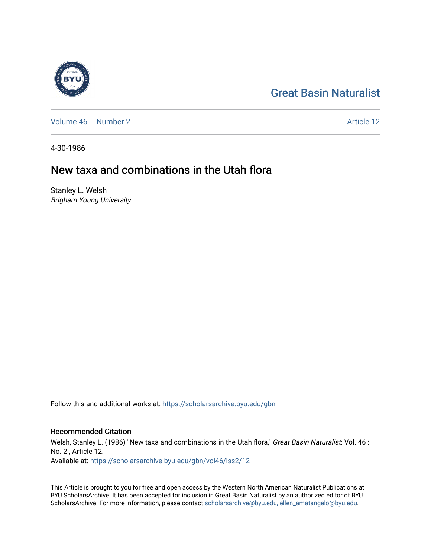# [Great Basin Naturalist](https://scholarsarchive.byu.edu/gbn)

[Volume 46](https://scholarsarchive.byu.edu/gbn/vol46) [Number 2](https://scholarsarchive.byu.edu/gbn/vol46/iss2) Article 12

4-30-1986

# New taxa and combinations in the Utah flora

Stanley L. Welsh Brigham Young University

Follow this and additional works at: [https://scholarsarchive.byu.edu/gbn](https://scholarsarchive.byu.edu/gbn?utm_source=scholarsarchive.byu.edu%2Fgbn%2Fvol46%2Fiss2%2F12&utm_medium=PDF&utm_campaign=PDFCoverPages) 

# Recommended Citation

Welsh, Stanley L. (1986) "New taxa and combinations in the Utah flora," Great Basin Naturalist: Vol. 46 : No. 2 , Article 12. Available at: [https://scholarsarchive.byu.edu/gbn/vol46/iss2/12](https://scholarsarchive.byu.edu/gbn/vol46/iss2/12?utm_source=scholarsarchive.byu.edu%2Fgbn%2Fvol46%2Fiss2%2F12&utm_medium=PDF&utm_campaign=PDFCoverPages) 

This Article is brought to you for free and open access by the Western North American Naturalist Publications at BYU ScholarsArchive. It has been accepted for inclusion in Great Basin Naturalist by an authorized editor of BYU ScholarsArchive. For more information, please contact [scholarsarchive@byu.edu, ellen\\_amatangelo@byu.edu.](mailto:scholarsarchive@byu.edu,%20ellen_amatangelo@byu.edu)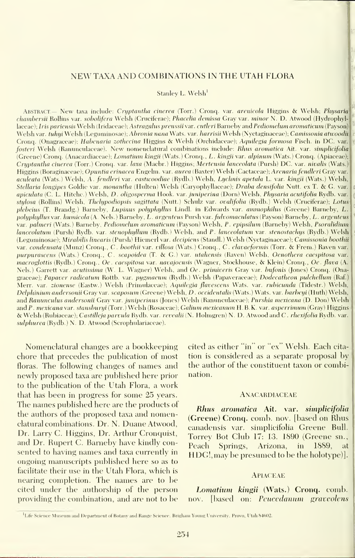# NEW TAXA AND COMBINATIONS IN THE UTAH FLORA

Stanley L. Welsh'

ABSTRACT.- New taxa include: Cryptantha cinerea (Torr.) Cronq. var. arenicola Higgins & Welsh; Physaria chambersii Rollins var. sobolifera Welsh (Cruciferae); Phacelia demissa Gray var. minor N. D. Atwood (Hydrophyl laceae); Iris pariensis Welsh (Iridaceae); Astragalus preussii var. cutleri Barneby and Pediomelum aromaticum (Payson) Welsh var. *tuhui* Welsh (Leguminosae); *Abronia nana* Wats. var. *harrisii Wel*sh (Nyctaginaceae); *Camissonia atwoodii*, Cronq. (Onagraceae); Habenaria zothecina Higgins & Welsh (Orchidaceae); Aqiiilegia formosa Fisch. in DC. var. fosteri Welsh (Ranunculaceae). New nomenclatural combinations include: Rhus aromatica Ait. var. simplicifolia (Creene) Cronq. (Anacardiaceae); Lomatium kingii (Wats.) Cronq., L. kingii var. alpinum (Wats.) Cronq. (Apiaceae); Cryptantha cinerea (Torr.) Cronq. var. laxa (Macbr.) Higgins; Mertensia lanceolata (Pursh) DC. var. nivalis (Wats.) Higgins (Boraginaceae); Opuntia erinacea Engelm. var. aurea (Baxter) Welsh (Cactaceae); Arenaria fendleri Gray var. aculeata (Wats.) Welsh, A. fendleri var. eastivoodiae (Rydb.) Welsh, Lychnis apetala L. var. kingii (Wats.) Welsh, Stellaria longipes Goldie var. monantha (Hulten) Welsh (Caryophyllaceae); Draba densifolia Nutt. ex T. & G. var, apiculata (C. L. Hitchc.) Welsh, D. oligosperma Hook. var. juniperina (Dorn) Welsh, Physaria acutifolia Rydb. var. stylosa (Rollins) Welsh, Thelypodiopsis sagittata (Nutt.) Schulz var. ovalifolia (Rydb.) Welsh (Cruciferae); Lotus plebeius (T. Brandg.) Barneby, Lupinus polyphyllus Lindl. in Edwards var. ammophilus (Greene) Barneby, L polyphyllus var. humicola (A. Nels.) Barneby, L. argenteus Pursh var. fulvomaculatus (Payson) Barneby, L. argenteus var. palmeri (Wats.) Barneby, Pediomelum aromaticum (Payson) Welsh, P. epipsilum (Barneby) Welsh, Psoralidium lanceolatum (Pursh) Rydb. var. stenophyllum (Rydb.) Welsh, and P. lanceolatum var. stenostachys (Rydb.) Welsh (Leguminosae); Mirabilis linearis (Pursh) Hiemerl var. decipiens (Standi.) Welsh (Nyctaginaceae); Camissonia boothii var. condensata (Munz) Cronq., C. boothii var. villosa (Wats.) Cronq., C. clavaeformis (Torr. & Frem.) Raven var. purpurascens (Wats.) Cronq., C. scapoidea (T. & G.) var. utahensis (Raven) Welsh, Oenothera caespitosa var. macroglottis (Rydb.) Cronq., Oe . caespitosa var. navajoensis (Wagner, Stockhouse, & Klein) Cronq., Oe. flava (A. Nels.) Garrett var. *acutissima* (W. L. Wagner) Welsh, and Oe. primiveris Gray var. bufonis (Jones) Cronq. (Onagraceae); Papaver radicatum Rottb. var. pygmaeum (Rydb.) Welsh (Papaveraceae); Dodecatheon pulchellum (Raf.) Merr. var. zionense (Eastw.) Welsh (Primulaceae); Aquilegia flavescens Wats. var. rubicunda (Tidestr.) Welsh, Delphinium andersonii Gray var. scaposum (Greene) Welsh, D. occidentalis (Wats.) Wats. var. barbeyi (Huth) Welsh, and Ranunculus andersonii Gray var. juniperinus (Jones) Welsh (Ranunculaceae); Purshia mexicana (D. Don) Welsh and P. mexicana var. stansburyi (Torr.) Welsh (Rosaceae); Galium mexicanum H.B.K. var. asperrimum (Gray) Higgins & Welsh (Rubiaceae); Castilleja parvula Rydb. var. revcalii (N. Holmgren) N. D. Atwood and C . rhexifolio Rydb. var. sulphurea (Rydb.) N. D. Atwood (Scrophulariaceae).

Nomenclatural changes are a bookkeeping chore that precedes the publication of most floras. The following changes of names and newly proposed taxa are published here prior to the publication of the Utah Flora, a work that has been in progress for some 25 years. The names published here are the products of the authors of the proposed taxa and nomenclatural combinations. Dr. N. Duane Atwood, Dr. Larry C. Higgins, Dr. Arthur Cronquist, and Dr. Rupert C. Barneby have kindly con sented to having names and taxa currently in ongoing manuscripts published here so as to facilitate their use in the Utah Flora, which is nearing completion. The names are to be cited under the authorship of the person providing the combination, and are not to be

cited as either "in" or "ex" Welsh. Each cita tion is considered as a separate proposal by the author of the constituent taxon or combination.

#### **ANACARDIACEAE**

Rhus aromatica Ait. var. simplicifolia (Greene) Cronq. comb. nov. [based on Rhus canadensis var. simplicifolia Greene Bull. Torrey Bot Club 17: 13. 1890 (Greene sn.. Peach Springs, Arizona, in 1889, at HDG!, may be presumed to be the holotype)].

# Apiaceae

Lomatium kingii (Wats.) Cronq. comb. nov. [based on: Peucedanum graveolens

<sup>&</sup>lt;sup>1</sup>Life Science Museum and Department of Botany and Range Science, Brigham Young University, Provo, Utah 84602.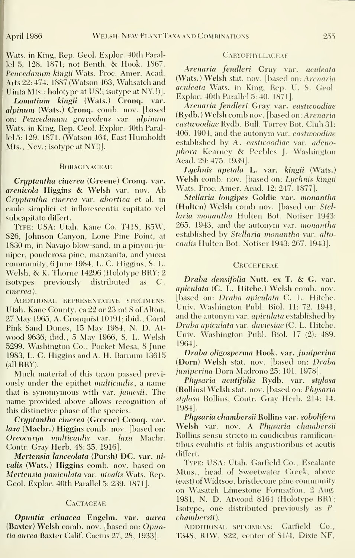Wats, in King, Rep. Geol. Explor. 40th Parallel 5: 128. 1871; not Benth. & Hook. 1867. Peucedanum kingii Wats. Proc. Amer. Acad. Arts 22: 474. 1887 (Watson 463, Wahsatch and Uinta Mts.; holotype at US!; isotype at NY. !)].

Lomatium kingii (Wats.) Cronq. var. alpinum (Wats.) Cronq. comb. nov. [based on: Peucedanum graveolens var. alpinum Wats, in King, Rep. Geol. Explor. 40th Parallel 5: 129. 1871. (Watson 464, East Humboldt Mts., Nev.; isotype at NY!)].

#### **BORAGINACEAE**

Cryptantha cinerea (Greene) Cronq. var. arenicola Higgins & Welsh var. nov. Ab Cryptantha cinerea var. abortiva et al. in caule simplici et inflorescentia capitato vel subcapitato differt.

Type: USA: Utah. Kane Co. T41S, R5W, S26, Johnson Canyon, Lone Pine Point, at 1830 m, in Navajo blow-sand, in a pinyon-juniper, ponderosa pine, manzanita, and yucca community, 6 June 1984, L. C. Higgins, S. L. Welsh, & K. Thorne <sup>14296</sup> (Holotype BRY; <sup>2</sup> isotypes previously distributed as C cinerea).

Additional representative specimens: Utah. Kane County, ca 22 or 23 mi S of Alton, 27 May 1965, A. Cronquist 10191; ibid.. Coral Pink Sand Dunes, 15 May 1984, N. D. At wood 9636; ibid., 5 May 1966, S. L. Welsh 5299. Washington Co., Pocket Mesa, 8 June 1983, L. C. Higgins and A. H. Barnum 13615 (all BRY).

Much material of this taxon passed previously under the epithet *multicaulis*, a name that is synomymous with var. jamesii. The name provided above allows recognition of this distinctive phase of the species.

Cryptantha cinerea (Greene) Cronq. var. laxa (Macbr.) Higgins comb. nov. [based on: Oreocarya multicaulis var. laxa Macbr. Contr. Gray Herb. 48: 35. 1916].

Mertensia lanceolata (Pursh) DC. var. ni valis (Wats.) Higgins comb. nov. based on Mertensia paniculata var. nivalis Wats. Rep. Geol. Explor. 40th Parallel 5: 239. 1871].

# **CACTACEAE**

Opuntia erinacea Engelm. var. aurea (Baxter) Welsh comb. nov. [based on: Opuntia aurea Baxter Calif. Cactus 27, 28, 1933].

## CARYOPHYLLACEAE

Arenaria fendleri Gray var. aculeata (Wats.) Welsh stat. nov. [based on: Arenaria aculeata Wats, in King, Rep. U. S. Geol. Explor. 40th Parallel 5: 40. 1871].

Arenaria fendleri Gray var. eastwoodiae (Rydb.) Welsh comb nov. [based on: Arenaria eastwoodiae Rydb. Bull. Torrey Bot. Club 31: 406. 1904, and the autonym var. eastwoodiae established by A. eastwoodiae var. adenophora Kearnev & Peebles J. Washington Acad. 29:475. 1939].

Lychnis apetala L. var. kingii (Wats.) Welsh comb. nov. [based on: Lychnis kingii Wats. Proc. Amer. Acad. 12: 247. 1877].

Stellaria longipes Goldie var. monantha (Hulten) Welsh comb nov. [based on: Stel laria monantha Hulten Bot. Notiser 1943: 265. 1943, and the autonym var. monantha established by Stellaria monantha var. alto caulis Hulten Bot. Notiser 1943: 267. 1943].

## **CRUCEFERAE**

Draba densifolia Nutt. ex T. & G. var. apiculata (C. L. Hitchc.) Welsh comb. nov. [based on: *Draba apiculata C. L. Hitchc.* Univ. Washington Publ. Biol. 11: 72. 1941, and the autonym var. apiculata established by Draba apiculata xar. daviesiae (C. L. Hitchc. Univ. Washington Publ. Biol. 17 (2): 489. 1964].

Draba oligosperma Hook. var. juniperina (Dorn) Welsh stat. nov. [based on: Draba juniperina Dorn Madrono 25: 101. 1978].

Physaria acutifolia Rydb. var. stylosa (Rollins) Welsh stat. nov. [based on: Physaria stijlosa Rollins, Contr. Gray Herb. 214: 14. 1984].

Physaria chambersii Rollins var. sobolifera Welsh var. nov. A Physaria chambersii Rollins sensu stricto in caudicibus ramificantibus evolutis et foliis angustioribus et acutis differt.

Type: USA: Utah. Garfield Co., Escalante Mtns., head of Sweetwater Creek, above (east) ofWidtsoe, bristlecone pine community on Wasatch Limestone Formation, 2 Aug. 1981, N. D. Atwood 8164 (Holotype BRY; Isotype, one distributed previously as P. chambersii).

ADDITIONAL SPECIMENS: Garfield Co., T34S, RIW, S22, center of Sl/4, Dixie NF,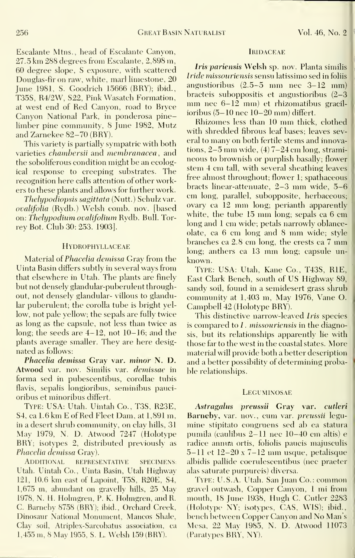Escalante Mtns., head of Escalante Canyon, 27.5 km 288 degrees from Escalante, 2,898 m, 60 degree slope, S exposure, with scattered Douglas-fir on raw, white, marl limestone, 20 June 1981, S. Goodrich 15666 (BRY); ibid., T35S, R4/2W, S22, Pink Wasatch Formation, at west end of Red Canyon, road to Bryce Canyon National Park, in ponderosa pinelimber pine community, 8 June 1982, Mutz and Zarnekee 82-70 (BRY).

This variety is partially sympatric with both varieties *chambersii* and *membranacea*, and the soboliferous condition might be an ecological response to creeping substrates. The recognition here calls attention of other workers to these plants and allows for further work.

Thelypodiopsis sagittata (Nutt.) Schulz var. ovalifolia (Rydb.) Welsh comb. nov. [based on: Thelypodium ovalifolium Rydb. Bull. Torrey Bot. Club 30: 253. 1903],

#### **HYDROPHYLLACEAE**

Material of Phacelia demissa Gray from the Uinta Basin differs subtly in several ways from that elsewhere in Utah. The plants are finely but not densely glandular-puberulent throughout, not densely glandular- villous to glandular puberulent; the corolla tube is bright yel low, not pale yellow; the sepals are fully twice as long as the capsule, not less than twice as long; the seeds are 4-12, not 10-16; and the plants average smaller. They are here desig nated as follows;

Phacelia demissa Gray var. minor N. D. Atwood var. nov. Similis var. demissae in forma sed in pubescentibus, corollae tubis flavis, sepalis longioribus, seminibus pauci oribus et minoribus differt.

Type: USA: Utah. Uintah Co., T3S, R23E, 84, ca 1.6 km E of Red Fleet Dam, at 1,891 m, in a desert shrub community, on clay hills, 31 May 1979, N. D. Atwood 7247 (Holotype BRY; isotypes 2, distributed previously as Phacelia demissa Gray).

Additional representative specimens: Utah. Uintah Co., Uinta Basin, Utah Highwav 121, 10.6 km east of Lapoint, T5S, R20E, S4, 1,675 m, abundant on gravellv hills, 25 Mav 1978, N. H. Holmgren, P. K. Holmgren, and R. C. Barneby 8758 (BRY); ibid.. Orchard Creek, Dinosaur National Monument, Mancos Shale, Clay soil, Atriplex-Sarcobatus association, ca 1,455 m, 8 May 1955, S. L. Welsh 159 (BRY).

#### **IRIDACEAE**

Iris pariensis Welsh sp. nov. Planta similis Iride missouriensis sensu latissimo sed in foliis angustioribus (2.5-5 mm nee 3-12 mm) bracteis suboppositis et angustioribus (2-3 mm nec  $6-12$  mm) et rhizomatibus gracilioribus (5-10 nee 10-20 mm) differt.

Rhizomes less than <sup>10</sup> mm thick, clothed with shredded fibrous leaf bases; leaves several to many on both fertile stems and innovations, 2-5 mm wide, (4) 7-24 cm long, strami neous to brownish or purplish basally; flower stem 4 cm tall, with several sheathing leaves free almost throughout; flower 1; spathaceous bracts linear-attenuate, 2-3 mm wide, 5-6 cm long, parallel, subopposite, herbaceous; ovary ca <sup>12</sup> mm long; perianth apparently white, the tube 15 mm long; sepals ca 6 cm long and <sup>1</sup> cm wide; petals narrowly oblanceolate, ca <sup>6</sup> cm long and <sup>8</sup> mm wide; style branches ca 2.8 cm long, the crests ca <sup>7</sup> mm long; anthers ca <sup>13</sup> mm long; capsule un known.

Type: USA: Utah, Kane Co., T43S, RIE, East Clark Bench, south of US Highway 89, sandy soil, found in a semidesert grass shrub communitv at 1,403 m, Mav 1976, Vane O. Campbell 42 (Holotype BRY).

This distinctive narrow-leaved Iris species is compared to  $I$ . missouriensis in the diagnosis, but its relationships apparently lie with those far to the west in the coastal states. More material will provide both a better description and a better possibility of determining probable relationships.

#### **LEGUMINOSAE**

Astragalus preussii Gray var. cutleri Barneby, var. nov., cum var. preussii legu mine stipitato congruens sed ab ea statura pumila (caulibus 2-11 nee 10-40 cm altis) e radice anmra ortis, foliolis paucis majusculis  $5-11$  et  $12-20$  x  $7-12$  mm usque, petalisque albidis pallide coerulescentibus (nee praeter alas saturate purpureis) diversa.

Type: U.S.A. Utah. San Juan Co.: common gravel outwash. Copper Canvon, <sup>1</sup>mi from mouth, 18 June 1938, Hugh C. Cutler 2283 (Holotype NY; isotypes, CAS, WIS); ibid., bench between Copper Canvon and No Man's Mesa, 22 Mav 1985, N. D. Atwood 11073 (Paratypes BRY, NY).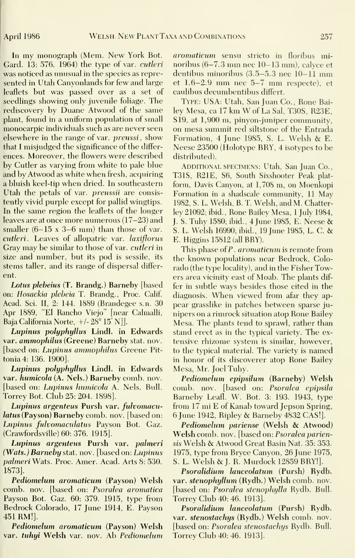In my monograph (Mem. New York Bot. Card. 13: 576. 1964) the type of var. cutleri was noticed as unusual in the species as repre sented in Utah Canyonlands for few and large leaflets but was passed over as a set of seedlings showing only juvenile foliage. The rediscovery by Duane Atwood of the same plant, found in a uniform population of small monocarpic individuals such as are never seen elsewhere in the range of var. *preussi*, show that <sup>I</sup> misjudged the significance of the differ ences. Moreover, the flowers were described by Cutler as varying from white to pale blue and by Atwood as white when fresh, acquiring <sup>a</sup> bluish keel-tip when dried. In southeastern Utah the petals of var. *preussii* are consistently vivid purple except for pallid wingtips. In the same region the leaflets of the longer leaves are at once more numerous (17-23) and smaller  $(6-15 \times 3-6 \text{ mm})$  than those of var. cutleri. Leaves of allopatric var. laxiflorus Gray may be similar to those of var. cutleri in size and number, but its pod is sessile, its stems taller, and its range of dispersal differ ent.

Lotus plebeius (T. Brandg.) Barneby [based on: Hosackia plebeia T. Brandg., Proc. Calif Acad. Sci. II, 2: 144. 1889 (Brandegee s.n. 30 Apr 1889, "El Rancho Viejo" [near Calmalli, Baja California Norte, +/- 28° 15' N]].

Lupinus polyphyllus Lindl. in Edwards var. ammophilus (Greene) Barneby stat. nov. [based on: Lupinus ammophilus Greene Pittonia4: 136. 1900].

Lupinus polyphyllus Lindl. in Edwards var. humicola (A. Nels.) Barneby comb. nov. [based on: Lupinus humicola A. Nels. Bull. Torrey Bot. Club 25: 204. 1898].

Lupinus argenteus Pursh var. fulvomacu latus (Payson) Barneby comb. nov. [based on: Lupinus fulvomaculatus Pavson Bot. Gaz. (Crawfordsville) 60: 376. 1915].

Lupinus argenteus Pursh var. pahneri (Wats.) Barneby stat. nov. [based on: Lupinus pahneri Wats. Proc. Amer. Acad. Arts 8: 530. 1873].

Pediomelum aromaticum (Payson) Welsh comb. nov. [based on: Psoralea aromatica Payson Bot. Gaz. 60: 379. 1915, type from Bedrock Colorado, 17 June 1914, E. Payson 451 RM!].

Pediomelum aromaticum (Payson) Welsh var. tuhyi Welsh var. nov. Ab Pediomelum aromaticum sensu stricto in floribus minoribus (6-7.3 mm nee 10-13 mm), calyce et dentibus minoribus (3.5-5.3 nee 10-11 mm et 1.6-2.9 mm nee 5-7 mm respecte), et caulibus decumbentibus differt.

Type: USA: Utah, San Juan Co., Rone Bailey Mesa, ca <sup>17</sup> km W of La Sal, T30S, R23E, S19, at 1,900 m, pinyon-juniper community, on mesa summit red siltstone of the Entrada Formation, <sup>4</sup> June 1985, S. L. Welsh & E. Neese 23500 (Holotype BRY, 4 isotypes to be distributed).

Additional SPECIMENS: Utah, San Juan Co., T31S, R21E, S6, South Sixshooter Peak plat form, Davis Canyon, at 1,708 m, on Moenkopi Formation in <sup>a</sup> shadscale community, <sup>11</sup> May 1982, S. L. Welsh, B. T. Welsh, and M. Chatterley 21092; ibid.. Rone Bailey Mesa, <sup>1</sup> July 1984, J. S. Tuhy 1580; ibid., <sup>4</sup> June 1985, E. Neese & S. L. Welsh 16990; ibid., <sup>19</sup> June 1985, L. C. & E. Higgins 15812 (all BRY).

This phase of P. aromaticum is remote from the known populations near Bedrock, Colorado (the type locality), and in the Fisher Towers area vicinity east of Moab. The plants dif fer in subtle ways besides those cited in the diagnosis. When viewed from afar they ap pear grasslike in patches between sparse ju nipers on a rimrock situation atop Rone Bailey Mesa. The plants tend to sprawl, rather than stand erect as in the typical variety. The ex tensive rhizome system is similar, however, to the typical material. The variety is named in honor of its discoverer atop Rone Bailey Mesa, Mr. Joel Tuhy.

Pediomelum epipsilum (Barneby) Welsh comb. nov. [based on: Psoralea epipsila Barneby Leaf!. W. Bot. 3: 193. 1943, type from 17 mi E of Kanab toward Jepson Spring, <sup>6</sup> June 1942, Ripley & Barneby 4832 CAS!].

Pediomelum pariense (Welsh & Atwood) Welsh comb. nov. [based on: Psoralea pariensis Welsh & Atwood Great Basin Nat. 35: 353. 1975, tvpe from Brvce Canvon, 26 June 1975, S. L. Welsh & J. R.' Murdock <sup>12859</sup> BRY!].

Psoralidium lanceolatum (Pursh) Rydb. var. stenophyllum (Rydb.) Welsh comb. nov. [based on: Psoralea stenophylla Rydb. Bull. Torrey Club 40: 46. 1913].

Psoralidium lanceolatum (Pursh) Rydb. var. stenostachys (Rydb.) Welsh comb. nov. [based on: Psoralea stenostachys Rydb. Bull. Torrey Club 40: 46. 1913].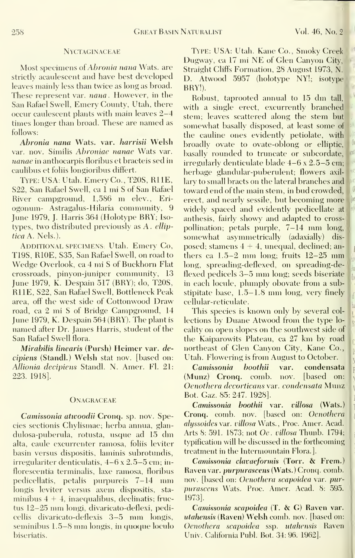## Nyctaginaceae

Most specimens of Abronia nana Wats, are strictly acaulescent and have best developed leaves mainly less than twice as long as broad. These represent var. *nana*. However, in the San Rafael Swell, Emery County, Utah, there occur caulescent plants with main leaves 2-4 times longer than broad. These are named asfollows:

Abronia nana Wats. var. harrisii Welsh var. nov. Similis Abroniae nanae Wats var. nanae in anthocarpis floribus et bracteis sed in caulibus et foliis longioribus differt.

Type: USA: Utah. EmervCo., T20S, RUE, S22, San Rafael Swell, ca <sup>1</sup> mi S of San Rafael River campground, 1,586 m elev., Eri ogonum- Astragalus-Hilaria community, 9 June 1979, J. Harris 364 (Holotype BRY; Isotypes, two distributed previously as A. elliptica A. Nels.).

ADDITIONAL SPECIMENS: Utah. Emery Co, T19S, RIOE, S35, San Rafael Swell, on road to Wedge Overlook, ca 4 mi <sup>S</sup> of Buckhorn Flat crossroads, pinyon-juniper communitv, 13 June 1979, K. Despain 517 (BRY); do, T20S, RUE, S22, San Rafael Swell, Bottleneck Peak area, off the west side of Cottonwood Draw road, ca 2 mi S of Bridge Campground, 14 June 1979, K. Despain 564 (BRY). The plant is named after Dr. James Harris, student of the San Rafael Swell flora.

Mirabilis linearis (Pursh) Heimer var. decipiens (Standi.) Welsh stat nov. [based on: Allionia decipiens Standl. N. Amer. Fl. 21: 223. 1918].

#### **ONAGRACEAE**

Camissonia atwoodii Cronq. sp. nov. Species sectionis Chylismae; herba annua, glan dulosa-puberula, rotusta, usque ad <sup>15</sup> dm alta, caule excurrenter ramosa, foliis leviter basin versus dispositis, laminis subrotundis, irregulariter denticulatis, 4-6 x 2.5-5 cm; in florescentia terminalis, laxe ramosa, floribus pedicellatis, petalis purpureis 7-14 mm longis leviter versus axem dispositis, sta minibus  $4 + 4$ , inaequalibus, declinatis; fructus 12-25 mm longi, divaricato-deflexi, pedicellis divaricato-deflexis 3—5 mm longis, seminibus 1.5–8 mm longis, in quoque loculo biseriatis.

Type: USA: Utah. Kane Co., Smoky Creek Dugway, ca <sup>17</sup> mi NE of Clen Canyon City, Straight Cliffs Formation, 28 August 1973, N. D. Atwood 5957 (holotvpe NY!; isotype BRY!).

Robust, taprooted annual to <sup>15</sup> dm tall, with a single erect, excurrently branched stem; leaves scattered along the stem but somewhat basally disposed, at least some of the cauline ones evidently petiolate, with broadly ovate to ovate-oblong or elliptic, basally rounded to truncate or subcordate, irregularly denticulate blade 4-6 <sup>x</sup> 2.5-5 cm; herbage glandular-puberulent; flowers axil lary to small bracts on the lateral branches and toward end of the main stem, in bud crowded, erect, and nearly sessile, but becoming more widely spaced and evidently pedicellate at anthesis, fairly showy and adapted to cross pollination; petals purple, 7-14 mm long somewhat asymmetrically (adaxially) dis posed; stamens  $4 + 4$ , unequal, declined; anthers ca  $1.5-2$  mm long; fruits  $12-25$  mm long, spreading-deflexed, on spreading-deflexed pedicels 3-5 mm long; seeds biseriate in each locule, plumply obovate from a substipitate base, 1.5-1.8 mm long, very finely cellular-reticulate.

This species is known only by several col lections by Duane Atwood from the type lo cality on open slopes on the southwest side of the Kaiparowits Plateau, ca 27 km by road northeast of Glen Canyon City, Kane Co., Utah. Flowering is from August to October.

Camissonia boothii var. condensata (Munz) Cronq. comb. nov. [based on: Oenothera decorticans yar. condensata Munz Bot. Gaz. 85:247. 1928].

Camissonia boothii var. villosa (Wats.) Cronq. comb. nov. [based on: Oenothera alyssoides var. villosa Wats., Proc. Amer. Acad. Arts 8: 591. 1873; not Oe . villosa Thunb. 1794; typification will be discussed in the forthcoming treatment in the Intermountain Flora.].

Camissonia clavaeformis (Torr. & Frem.) Raven var. purpurascens (Wats.) Cronq. comb, nov. [based on: Oenothera scapoidea var. purpurascens Wats. Proc. Amer. Acad. 8: 595. 1973],

Camissonia scapoidea (T. & G) Raven var. utahensis (Raven) Welsh comb. nov. [based on: Oenothera scapoidea ssp. utahensis Raven Univ. California Publ. Bot. 34: 96. 1962].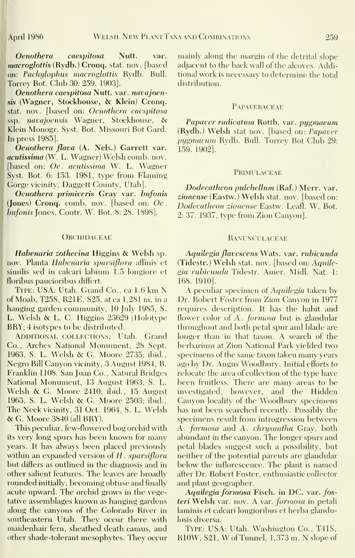Oenothera caespitosa Nutt. var. macroglottis (Rydb.) Cronq. stat. nov. [based on: Pachylophus macroglottis Rydb. Bull. Torrey Bot. Club 30: 259. 1903].

Oenothera caespitosa Nutt. var. navajoensis (Wagner, Stockhouse, & Klein) Cronq. stat. nov. [based on: Oenothera caespitosa ssp. navajoensis Wagner, Stockhouse, & Klein Monogr. Syst. Bot. Missouri Bot Card. In press 1985].

Oenothera flava (A. Nels.) Garrett var. acutissima (W. L. Wagner) Welsh comb. nov. [based on: Oe. acutissima W. L. Wagner Syst. Bot. 6: 153. 1981, type from Flaming Gorge vicinity, Daggett County, Utah].

Oenothera primiveris Gray var. bufonis (Jones) Cronq. comb. nov. [based on: Oe. bufonis Jones, Contr. W. Bot. 8: 28. 1898].

#### **ORCHIDACEAE**

Habenaria zothecina Higgins & Welsh sp. nov. Planta Habenaria sparsiflora affinis et similis sed in calcari labium 1.5 longiore et floribus paucioribus differt.

Type: USA: Utah. Grand Co., ca 1.6 km N of Moab, T25S, R21E, S25, at ca 1,281 m, in a hanging garden communitv, 10 |ulv 1985, S. L. Welsh & L. C. Higgins 23629 (Holotype BRY; 4 isotypes to be distributed.

ADDITIONAL COLLECTIONS: Utah. Grand Co., Arches National Monument, 28 Sept. 1963, S. L. Welsh & G.Moore 2735; ibid., Negro Bill Canyon vicinity, 3 August 1984, B. Franklin 1108. San Juan Co., Natural Bridges National Monument, 13 August 1963, S. L. Welsh & G. Moore 2410; ibid., <sup>15</sup> August 1963, S. L. Welsh & G.Moore 2503; ibid.. The Neck vicinitv, 31 Oct. 1964, S. L. Welsh &G. Moore 3840 (all BRY).

This peculiar, few-flowered bog orchid with its very long spurs has been known for many years. It has always been placed previously within an expanded version of  $H$ . sparsiflora but differs as outlined in the diagnosis and in other salient features. The leaves are broadly rounded initially, becoming obtuse and finally acute upward. The orchid grows in the vegetative assemblages known as hanging gardens along the canyons of the Colorado River in southeastern Utah. They occur there with maidenhair fern, sheathed death camus, and other shade-tolerant mesophytes. They occur mainly along the margin of the detrital slope adjacent to the back wall of the alcoves. Additional work is necessary to determine the total distribution.

#### **PAPAVE RACEAE**

Papaver radicatum Rottb. var. pugmaeum (Rydb.) Welsh stat nov. [based on: Papaver pugmacum Rydb. Bull. Torrey Bot Club 29: 159. 1902].

#### **PRIMULACEAE**

Dodecatheon pulchellum (Raf.) Merr. var. zionense (Eastw.) Welsh stat. nov. [based on: Dodecatheon zionense Eastw. Leafl. W. Bot. 2: 37. 1937, type from Zion Canyon].

# **RANUNCULACEAE**

Aquilegia flavescens Wats. var. rubicunda (Tidestr.) Welsh stat. nov. [based on: Aquilegia rubicunda Tidestr. Amer. Midi. Nat. 1: 168. 1910].

A peculiar specimen of Aquilegia taken by Dr. Robert Foster from Zion Canyon in 1977 requires description. It has the habit and flower color of  $A$ . *formosa* but is glandular throughout and both petal spur and blade are longer than in that taxon. A search of the herbarium at Zion National Park yielded two specimens of the same taxon taken many years ago by Dr. Angus Woodbury. Initial efforts to relocate the area of collection of the type have been fruitless. There are many areas to be investigated, however, and the Hidden Canyon locality of the Woodbury specimens has not been searched recently. Possibly the specimens result from introgression between A. formosa and A. chrysantha Gray, both abundant in the canyon. The longer spurs and petal blades suggest such a possibility, but neither of the potential parents are glandular below the inflorescence. The plant is named after Dr. Robert Foster, enthusiastic collector and plant geographer.

Aquilegia formosa Fisch. in DC. var. fosteri Welsh var. nov. A var. formosa in petali laminis et calcari longioribus et herba glandulosis diversa.

Type: USA: Utah. Washington Co., T41S, RlOW, S21, W of Tunnel, 1,373 m, <sup>N</sup> slope of